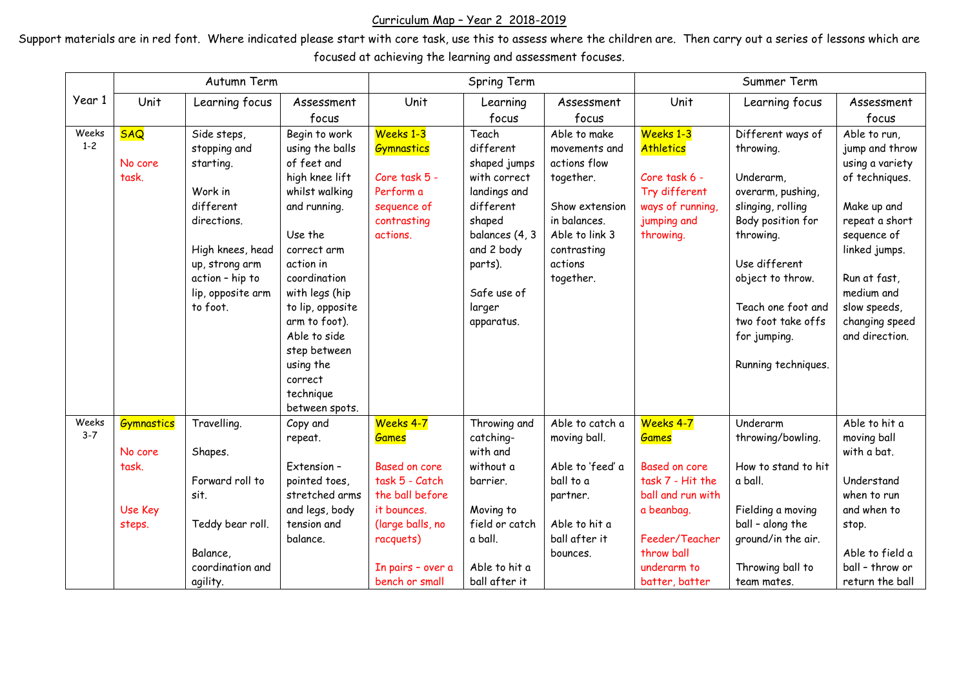## Curriculum Map – Year 2 2018-2019

Support materials are in red font. Where indicated please start with core task, use this to assess where the children are. Then carry out a series of lessons which are focused at achieving the learning and assessment focuses.

|                  | Autumn Term       |                   |                  | Spring Term       |                |                  | Summer Term       |                     |                 |
|------------------|-------------------|-------------------|------------------|-------------------|----------------|------------------|-------------------|---------------------|-----------------|
| Year 1           | Unit              | Learning focus    | Assessment       | Unit              | Learning       | Assessment       | Unit              | Learning focus      | Assessment      |
|                  |                   |                   | focus            |                   | focus          | focus            |                   |                     | focus           |
| Weeks            | <b>SAQ</b>        | Side steps,       | Begin to work    | Weeks 1-3         | Teach          | Able to make     | Weeks 1-3         | Different ways of   | Able to run,    |
| $1 - 2$          |                   | stopping and      | using the balls  | <b>Gymnastics</b> | different      | movements and    | <b>Athletics</b>  | throwing.           | jump and throw  |
|                  | No core           | starting.         | of feet and      |                   | shaped jumps   | actions flow     |                   |                     | using a variety |
|                  | task.             |                   | high knee lift   | Core task 5 -     | with correct   | together.        | Core task 6 -     | Underarm,           | of techniques.  |
|                  |                   | Work in           | whilst walking   | Perform a         | landings and   |                  | Try different     | overarm, pushing,   |                 |
|                  |                   | different         | and running.     | sequence of       | different      | Show extension   | ways of running,  | slinging, rolling   | Make up and     |
|                  |                   | directions.       |                  | contrasting       | shaped         | in balances.     | jumping and       | Body position for   | repeat a short  |
|                  |                   |                   | Use the          | actions.          | balances (4, 3 | Able to link 3   | throwing.         | throwing.           | sequence of     |
|                  |                   | High knees, head  | correct arm      |                   | and 2 body     | contrasting      |                   |                     | linked jumps.   |
|                  |                   | up, strong arm    | action in        |                   | parts).        | actions          |                   | Use different       |                 |
|                  |                   | action - hip to   | coordination     |                   |                | together.        |                   | object to throw.    | Run at fast,    |
|                  |                   | lip, opposite arm | with legs (hip   |                   | Safe use of    |                  |                   |                     | medium and      |
|                  |                   | to foot.          | to lip, opposite |                   | larger         |                  |                   | Teach one foot and  | slow speeds,    |
|                  |                   |                   | arm to foot).    |                   | apparatus.     |                  |                   | two foot take offs  | changing speed  |
|                  |                   |                   | Able to side     |                   |                |                  |                   | for jumping.        | and direction.  |
|                  |                   |                   | step between     |                   |                |                  |                   |                     |                 |
|                  |                   |                   | using the        |                   |                |                  |                   | Running techniques. |                 |
|                  |                   |                   | correct          |                   |                |                  |                   |                     |                 |
|                  |                   |                   | technique        |                   |                |                  |                   |                     |                 |
|                  |                   |                   | between spots.   |                   |                |                  |                   |                     |                 |
| Weeks<br>$3 - 7$ | <b>Gymnastics</b> | Travelling.       | Copy and         | Weeks 4-7         | Throwing and   | Able to catch a  | Weeks 4-7         | Underarm            | Able to hit a   |
|                  |                   |                   | repeat.          | <b>Games</b>      | catching-      | moving ball.     | <b>Games</b>      | throwing/bowling.   | moving ball     |
|                  | No core           | Shapes.           |                  |                   | with and       |                  |                   |                     | with a bat.     |
|                  | task.             |                   | Extension-       | Based on core     | without a      | Able to 'feed' a | Based on core     | How to stand to hit |                 |
|                  |                   | Forward roll to   | pointed toes,    | task 5 - Catch    | barrier.       | ball to a        | task 7 - Hit the  | a ball.             | Understand      |
|                  |                   | sit.              | stretched arms   | the ball before   |                | partner.         | ball and run with |                     | when to run     |
|                  | Use Key           |                   | and legs, body   | it bounces.       | Moving to      |                  | a beanbag.        | Fielding a moving   | and when to     |
|                  | steps.            | Teddy bear roll.  | tension and      | (large balls, no  | field or catch | Able to hit a    |                   | ball - along the    | stop.           |
|                  |                   |                   | balance.         | racquets)         | a ball.        | ball after it    | Feeder/Teacher    | ground/in the air.  |                 |
|                  |                   | Balance,          |                  |                   |                | bounces.         | throw ball        |                     | Able to field a |
|                  |                   | coordination and  |                  | In pairs - over a | Able to hit a  |                  | underarm to       | Throwing ball to    | ball - throw or |
|                  |                   | agility.          |                  | bench or small    | ball after it  |                  | batter, batter    | team mates.         | return the ball |